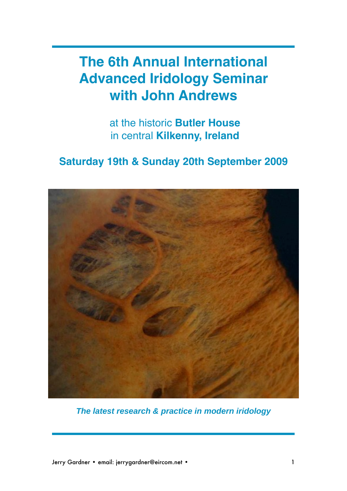# **The 6th Annual International Advanced Iridology Seminar with John Andrews**

at the historic **Butler House** in central **Kilkenny, Ireland**

**Saturday 19th & Sunday 20th September 2009**



**The latest research & practice in modern iridology**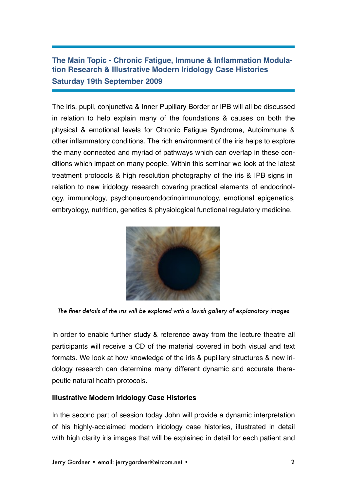**The Main Topic - Chronic Fatigue, Immune & Inflammation Modulation Research & Illustrative Modern Iridology Case Histories Saturday 19th September 2009**

The iris, pupil, conjunctiva & Inner Pupillary Border or IPB will all be discussed in relation to help explain many of the foundations & causes on both the physical & emotional levels for Chronic Fatigue Syndrome, Autoimmune & other inflammatory conditions. The rich environment of the iris helps to explore the many connected and myriad of pathways which can overlap in these conditions which impact on many people. Within this seminar we look at the latest treatment protocols & high resolution photography of the iris & IPB signs in relation to new iridology research covering practical elements of endocrinology, immunology, psychoneuroendocrinoimmunology, emotional epigenetics, embryology, nutrition, genetics & physiological functional regulatory medicine.



*The finer details of the iris will be explored with a lavish gallery of explanatory images* 

In order to enable further study & reference away from the lecture theatre all participants will receive a CD of the material covered in both visual and text formats. We look at how knowledge of the iris & pupillary structures & new iridology research can determine many different dynamic and accurate therapeutic natural health protocols.

#### **Illustrative Modern Iridology Case Histories**

In the second part of session today John will provide a dynamic interpretation of his highly-acclaimed modern iridology case histories, illustrated in detail with high clarity iris images that will be explained in detail for each patient and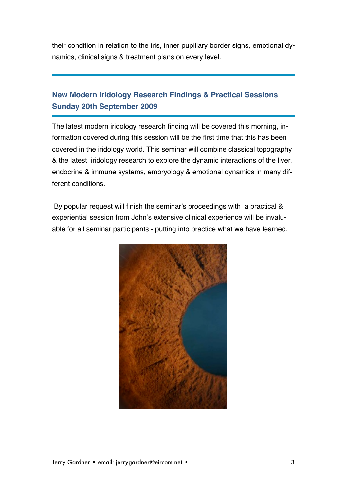their condition in relation to the iris, inner pupillary border signs, emotional dynamics, clinical signs & treatment plans on every level.

### **New Modern Iridology Research Findings & Practical Sessions Sunday 20th September 2009**

The latest modern iridology research finding will be covered this morning, information covered during this session will be the first time that this has been covered in the iridology world. This seminar will combine classical topography & the latest iridology research to explore the dynamic interactions of the liver, endocrine & immune systems, embryology & emotional dynamics in many different conditions.

 By popular request will finish the seminar's proceedings with a practical & experiential session from John's extensive clinical experience will be invaluable for all seminar participants - putting into practice what we have learned.